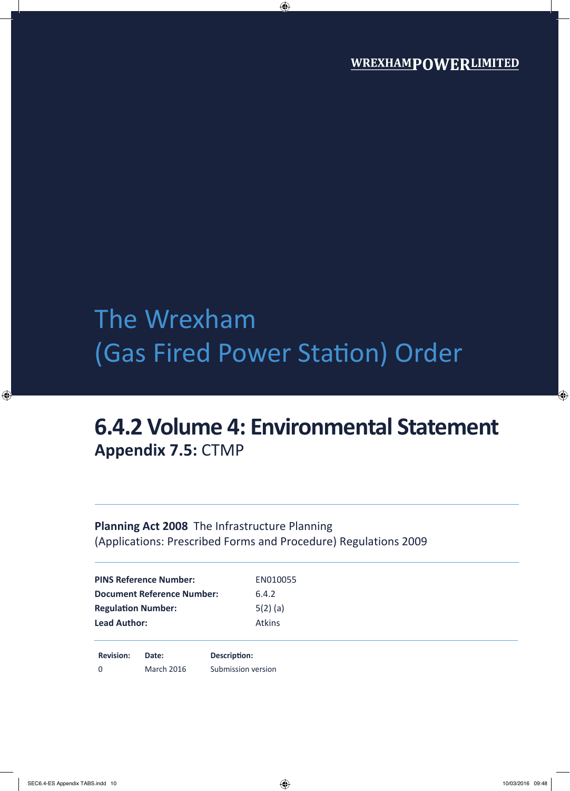# The Wrexham (Gas Fired Power Station) Order

## **6.4.2 Volume 4: Environmental Statement Appendix 7.5:** CTMP

### **Planning Act 2008** The Infrastructure Planning (Applications: Prescribed Forms and Procedure) Regulations 2009

| <b>Lead Author:</b>               | <b>Atkins</b> |  |
|-----------------------------------|---------------|--|
| <b>Regulation Number:</b>         | $5(2)$ (a)    |  |
| <b>Document Reference Number:</b> | 6.4.2         |  |
| <b>PINS Reference Number:</b>     | EN010055      |  |

0 March 2016 Submission version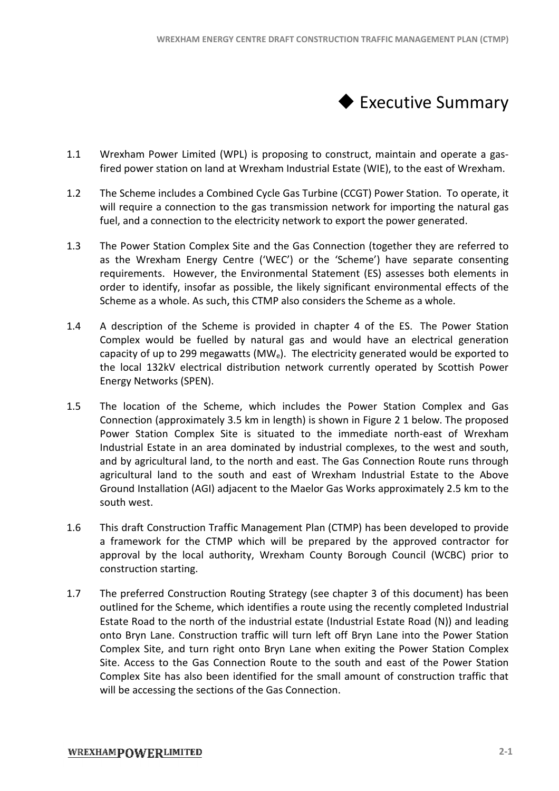

- 1.1 Wrexham Power Limited (WPL) is proposing to construct, maintain and operate a gasfired power station on land at Wrexham Industrial Estate (WIE), to the east of Wrexham. Wrexham.
- 1.2 The Scheme includes a Combined Cycle Gas Turbine (CCGT) Power Station. To operate, it will require a connection to the gas transmission network for importing the natural gas fuel, and a connection to the electricity network to export the power generated. power station on land at Wrexham Industrial Estate (WIE), to the east of Wrexham.<br>cheme includes a Combined Cycle Gas Turbine (CCGT) Power Station. To operate, it<br>equire a connection to the gas transmission network for imp
- 1.3 The Power Station Complex Site and the Gas Connection (together they are referred to as the Wrexham Energy Centre ('WEC') or the 'Scheme') have separate consenting<br>requirements. However, the Environmental Statement (ES) assesses both elements in requirements. However, the Environmental Statement (ES) assesses both elements in order to identify, insofar as possible, the likely significant environmental effects of the Scheme as a whole. As such, this CTMP also considers the Scheme as a whole. order to identify, insofar as possible, the likely significant environmental effects of the Scheme as a whole.<br>Scheme as a whole. As such, this CTMP also considers the Scheme as a whole.<br>1.4 A description of the Scheme is
- Complex would be fuelled by natural gas and would have an electrical generation Complex would be fuelled by natural gas and would have an electrical generation<br>capacity of up to 299 megawatts (MW<sub>e</sub>). The electricity generated would be exported to the local 132kV electrical distribution network currently operated by Scottish Power Energy Networks (SPEN). the local 132kV electrical distribution network currently operated by Scottish Power<br>Energy Networks (SPEN).<br>1.5 The location of the Scheme, which includes the Power Station Complex and Gas ham Energy Centre ('WEC') or the 'Scheme') have separate consenting<br>
i. However, the Environmental Statement (ES) assesses both elements in<br>
trify, insofar as possible, the likely significant environmental effects of the<br>
- Connection (approximately 3.5 km in length) is shown in Figure 2 1 below. The proposed Power Station Complex Site is situated to the immediate north-east of Wrexham Industrial Estate in an area dominated by industrial complexes, to the west and south, Industrial Estate in an area dominated by industrial complexes, to the west and<br>and by agricultural land, to the north and east. The Gas Connection Route runs t agricultural land to the south and east of Wrexham Industrial Estate to the Above<br>Ground Installation (AGI) adjacent to the Maelor Gas Works approximately 2.5 km to the<br>south west.<br>This draft Construction Traffic Managemen Ground Installation (AGI) adjacent to the Maelor Gas Works approximately 2 2.5 km to the south west. TANTERIENT CONSTRUCTION TRAFFIC MANAGEMENT PLAN (CTMP)<br>
imited (WPL) is proposing to construct, maintain and operate a gas-<br>
and and and Wrexham Industrial Estate (WIE), to the east of Wresham.<br>
Initial (WPL) is proposing east of Wrexham<br>le west and south,<br>loute runs through
- 1.6 This draft Construction Traffic Management Plan (CTMP) has been developed to provide a framework for the CTMP which will be prepared by the approved contractor for approval by the local authority, Wrexham County Borough Council (WCBC) prior to construction starting. approval by the local authority, Wrexham County Borough Council (WCBC) prior to<br>construction starting.<br>1.7 The preferred Construction Routing Strategy (see chapter 3 of this document) has been
- outlined for the Scheme, which identifies a route using the recently completed Industrial outlined for the Scheme, which identifies a route using the recently completed Industrial<br>Estate Road to the north of the industrial estate (Industrial Estate Road (N)) and leading onto Bryn Lane. Construction traffic will turn left off Bryn Lane into the Power Station Complex Site, and turn right onto Bryn Lane when exiting the Power Station Complex Site. Access to the Gas Connection Route to the south and east of the Power Station Complex Site has also been identified for the small amount of construction traffic that will be accessing the sections of the Gas Connection.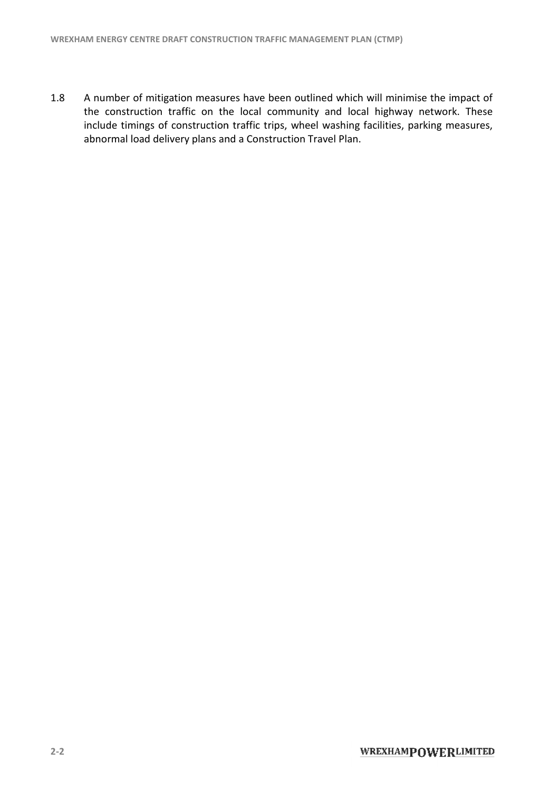1.8 A number of mitigation measures have been outlined which will minimise the impact of A number of mitigation measures have been outlined which will minimise the impact of<br>the construction traffic on the local community and local highway network. These include timings of construction traffic trips, wheel washing facilities, parking measures, include timings of construction traffic trips, wheel washing<br>abnormal load delivery plans and a Construction Travel Plan.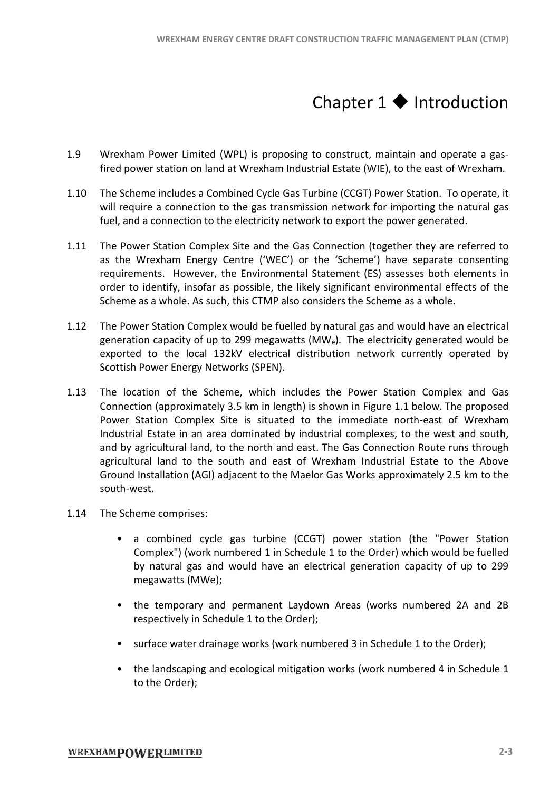### Chapter  $1 \blacklozenge$  Introduction

- 1.9 Wrexham Power Limited (WPL) is proposing to construct, maintain and operate a gasfired power station on land at Wrexham Industrial Estate (WIE), to the east of Wrexham. Wrexham.
- 1.10 The Scheme includes a Combined Cycle Gas Turbine (CCGT) Power Station. To operate, it will require a connection to the gas transmission network for importing the natural gas fuel, and a connection to the electricity network to export the power generated. power station on land at Wrexham Industrial Estate (WIE), to the east of Wrexham.<br>cheme includes a Combined Cycle Gas Turbine (CCGT) Power Station. To operate, it<br>equire a connection to the gas transmission network for imp
- 1.11 The Power Station Complex Site and the Gas Connection (together they are referred to as the Wrexham Energy Centre ('WEC') or the 'Scheme') have separate consenting<br>requirements. However, the Environmental Statement (ES) assesses both elements in requirements. However, the Environmental Statement (ES) assesses both elements in order to identify, insofar as possible, the likely significant environmental effects of the order to identify, insofar as possible, the likely significant environmental ef<br>Scheme as a whole. As such, this CTMP also considers the Scheme as a whole.
- 1.12 The Power Station Complex would be fuelled by natural gas and would have an electrical The Power Station Complex would be fuelled by natural gas and would have an electrical<br>generation capacity of up to 299 megawatts (MW<sub>e</sub>). The electricity generated would be exported to the local 132kV electrical distribution network currently operated by<br>Scottish Power Energy Networks (SPEN).<br>The location of the Scheme, which includes the Power Station Complex and Gas Scottish Power Energy Networks (SPEN).
- 1.13 The location of the Scheme, which includes the Power Station Complex and Gas Connection (approximately 3.5 km in length) is shown in Figure 1.1 below. The proposed Power Station Complex Site is situated to the immediate north-east of Wrexham Industrial Estate in an area dominated by industrial complexes, to the west and south, Industrial Estate in an area dominated by industrial complexes, to the west and south, and by agricultural land, to the north and east. The Gas Connection Route runs through agricultural land to the south and east of Wrexham Industrial Estate to the Above Ground Installation (AGI) adjacent to the Maelor Gas Works approximately 2.5 km to the south-west. cultural land to the south and east of Wrexham Industrial Estate to the Above<br>
und Installation (AGI) adjacent to the Maelor Gas Works approximately 2.5 km to the<br>
th-west.<br>
Scheme comprises:<br>
• a combined cycle gas turbin WREXHAM ENERGY CENTRE DRAFT CONSTRUCTION TRAFFIC MANAGEMENT PLAN (CTMP)<br>
Chapter 1  $\blackloarrow$  Introduction<br>
cover Limited (WPL) is proposing to construct, maintain and operate a gas-<br>
station on land at Wrexham Industrial Esta east of Wrexham<br>
e west and south,<br>
coute runs through<br>
cate to the Above<br>
ately 2.5 km to the<br>
e "Power Station<br>
h would be fuelled<br>
acity of up to 299<br>
bered 2A and 2B
- 1.14 The Scheme comprises:
	- Complex") (work numbered 1 in Schedule 1 to the Order) which would be fuelled by natural gas and would have an electrical generation capacity of up to 299 megawatts (MWe); Complex") (work numbered 1 in Schedule 1 to the Order) which would be fuelled<br>by natural gas and would have an electrical generation capacity of up to 299<br>megawatts (MWe);<br>• the temporary and permanent Laydown Areas (works
	- respectively in Schedule 1 to the Order);
	- respectively in Schedule 1 to the Order);<br>• surface water drainage works (work numbered 3 in Schedule 1 to the Order);
	- the landscaping and ecological mitigation works (work numbered 4 in Schedule 1 to the Order);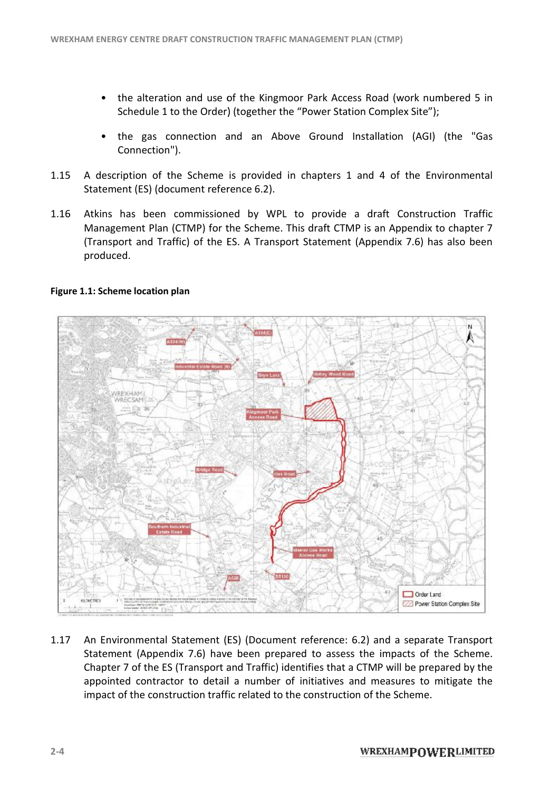- the alteration and use of the Kingmoor Park Access Road (work numbered 5 in Schedule 1 to the Order) (together the "Power Station Complex Site");
- Schedule 1 to the Order) (together the "Power Station Complex Site");<br>• the gas connection and an Above Ground Installation (AGI) (the "Gas Connection"). the Kingmoor Park Access Road (work numbered 5 in<br>ogether the "Power Station Complex Site");<br>d an Above Ground Installation (AGI) (the "Gas<br>provided in chapters 1 and 4 of the Environmental
- 1.15 A description of the Scheme is provided in chapters 1 and 4 of the Environmental Statement (ES) (document reference 6.2).
- 1.16 Atkins has been commissioned by WPL to provide a draft Construction Traffic Management Plan (CTMP) for the Scheme. This draft CTMP is an Appendix to chapter 7 (Transport and Traffic) of the ES. A Transport Statement (Appendix 7.6) has also been produced.



### **Figure 1.1: Scheme location plan**

1.17 An Environmental Statement (ES) (Document reference: 6.2) and a separate Transport Statement (Appendix 7.6) have been prepared to assess the impacts of the Scheme. Statement (Appendix 7.6) have been prepared to assess the impacts of the Scheme.<br>Chapter 7 of the ES (Transport and Traffic) identifies that a CTMP will be prepared by the appointed contractor to detail a number of initiatives and measures to mitigate the impact of the construction traffic related to the construction traffic related to the construction of the Scheme. impact of the construction traffic related to the construction of the Scheme.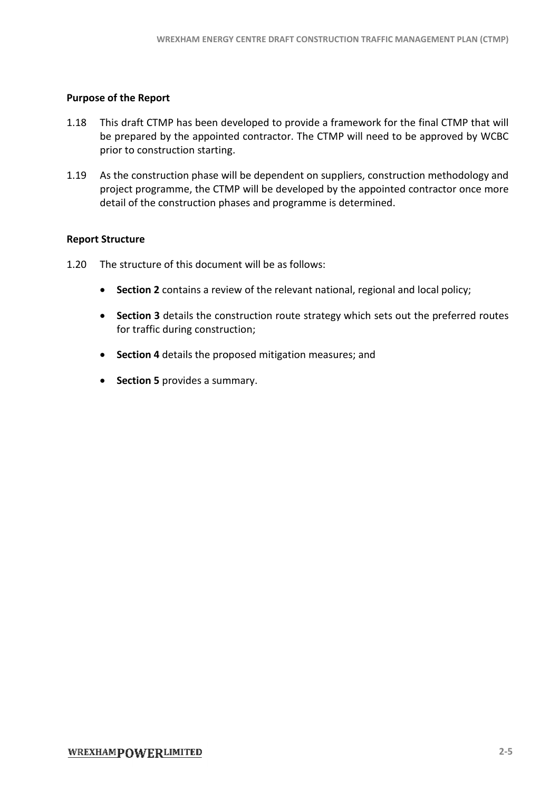#### **Purpose of the Report**

- 1.18 This draft CTMP has been developed to provide a framework for the final CTMP that will be prepared by the appointed contractor. The CTMP will need to be approved by WCBC prior to construction starting.
- 1.19 As the construction phase will be dependent on suppliers, construction methodology and methodology project programme, the CTMP will be developed by the appointed contractor once more detail of the construction phases and programme is determined. once more<br>cy;<br>rred routes

#### **Report Structure**

- 1.20 The structure of this document will be as follows:
	- **Section 2** contains a review of the relevant national, regional and local policy;
	- **•** Section 3 details the construction route strategy which sets out the preferred route for traffic during construction;
	- **•** Section 4 details the proposed mitigation measures; and
	- · **Section 5** provides a summary.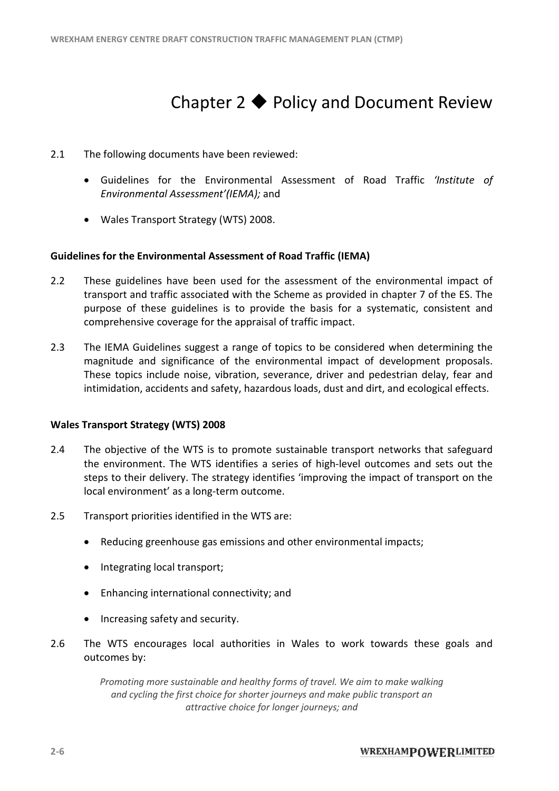### Chapter  $2 \triangleleft$  Policy and Document R

- 2.1 The following documents have been reviewed:
	- The following documents have been reviewed:<br>• Guidelines for the Environmental Assessment of Road Traffic *'Institute of Environmental Assessment'(IEMA) (IEMA);* and
	- · Wales Transport Strategy (WTS) 2008.

### **Guidelines for the Environmental Assessment of Road Traffic (IEMA)**

- 2.2 These guidelines have been used for the assessment of the environmental impact of transport and traffic associated with the Scheme as provided in chapter 7 of the ES. The purpose of these guidelines is to provide the basis for a systematic, consistent and<br>comprehensive coverage for the appraisal of traffic impact. comprehensive coverage for the appraisal of traffic impact. **Chapter 2 ◆ Policy and Document Review**<br> **nowing documents have been reviewed:**<br> **delings** for the Environmental Assessment of Road Traffic *'Institute* of<br> *ndimental* Assessment (*FCMA)*; and<br> **informeration** Assessmen
- 2.3 The IEMA Guidelines suggest a range of topics to be considered when determining the magnitude and significance of the environmental impact of development proposals. These topics include noise, vibration, severance, driver and pedestrian delay, fear and intimidation, accidents and safety, hazardous loads, dust and dirt, and ecological effects. exercial extermining<br>
determining<br>
impact of development proport<br>
ver and pedestrian delay, fear<br>
ust and dirt, and ecological effe<br>
transport networks that safegu<br>
h-level outcomes and sets out

### **Wales Transport Strategy (WTS) 2008**

- 2.4 The objective of the WTS is to promote sustainable transport networks that safeguard The objective of the WTS is to promote sustainable transport networks that safeguard<br>the environment. The WTS identifies a series of high-level outcomes and sets out the steps to their delivery. The strategy identifies 'improving the impact of transport on the<br>local environment' as a long-term outcome.<br>Transport priorities identified in the WTS are: local environment' as a long-term outcome.
- 2.5 Transport priorities identified in the WTS are:
	- Reducing greenhouse gas emissions and other environmental impacts;<br>• Integrating local transport;<br>• Enhancing international connectivity; and
	- · Integrating local transport;
	- · Enhancing international connectivity; and
	- Increasing safety and security.
- 2.6 The WTS encourages local authorities in Wales to work towards these goals and outcomes by:

*Promoting more sustainable and healthy forms of travel. We aim to make walking Promoting more forms We walking and cycling the first choice for shorter journeys and make public transport an attractive choice for longer journeys; and*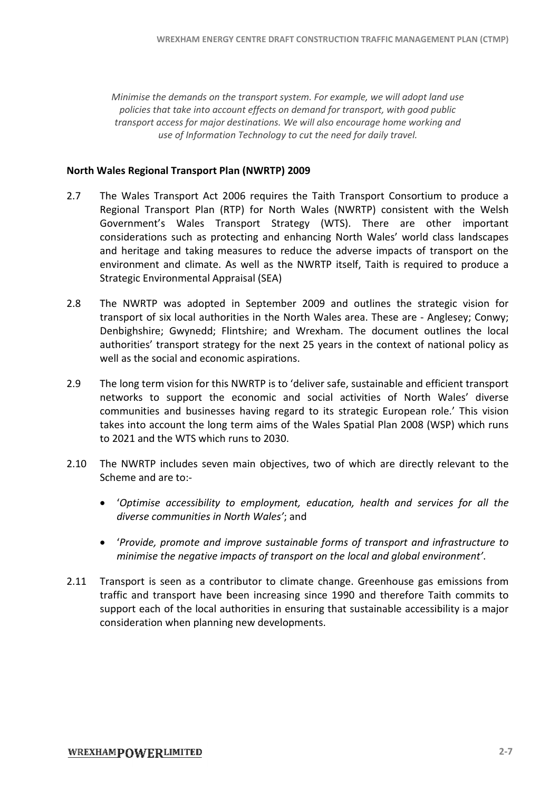*Minimise the demands on the transport system. For example, we will adopt land use policies that take into account effects on demand for the will transport, with good public transport access for major destinations. We will also encourage home working and use* of *Information Technology to cut the need for daily travel.* 

### **North Wales Regional Transport Plan (NWRTP) 2009 Regional Plan**

- 2.7 The Wales Transport Act 2006 requires the Taith Transport Consortium to produce a The Wales Transport Act 2006 requires the Taith Transport Consortium to produce a<br>Regional Transport Plan (RTP) for North Wales (NWRTP) consistent with the Welsh Government's Wales Transport Strategy (WTS). There are other important considerations such as protecting and enhancing North Wales' world class landscapes<br>and heritage and taking measures to reduce the adverse impacts of transport on the<br>environment and climate. As well as the NWRTP itself, T and heritage and taking measures to reduce the adverse impacts of transport on the environment and climate. As well as the NWRTP itself, Taith is required to produce a Strategic Environmental Appraisal (SEA) ENHAM ENERGY CENTRE DRAFT CONSTRUCTION TRAFFIC MARMAGEMENT PLAN (CTMP)<br>
entants on the transport system. For example, we will adopt land use<br>
acke into account effects on alemonal for transport, with good public<br>
for form
- 2.8 The NWRTP was adopted in September 2009 and outlines the strategic vision for transport of six local authorities in the North Wales area. These are - Anglesey; Conwy; Denbighshire; Gwynedd; Flintshire; and Wrexham. The document outlines the local authorities' transport strategy for the next 25 years in the context of national policy as well as the social and economic aspirations. shire; Gwynedd; Flintshire; and Wrexham. The document outlines<br>es' transport strategy for the next 25 years in the context of nationa<br>ne social and economic aspirations.<br>term vision for this NWRTP is to 'deliver safe, sust
- 2.9 The long term vision for this NWRTP is to 'deliver safe, sustainable and efficient transport networks to support the economic and social activities of North Wales' diverse communities and businesses having regard to its strategic European role.' This vision communities and businesses having regard to its strategic European role.' This vision<br>takes into account the long term aims of the Wales Spatial Plan 2008 (WSP) which runs to 2021 and the WTS which runs to 2030.
- 2.10 The NWRTP includes seven main objectives, two of which are directly relevant to the Scheme and are to:-
	- · '*Optimise accessibility to employment, education, health and services for all the diverse communities in North Wales'*; and
	- 'Provide, promote and *improve* sustainable forms of transport and *infrastructure* to *minimise the negative impacts of transport on the local and global environment'.*
- 2.11 Transport is seen as a contributor to climate change. Greenhouse gas emissions from traffic and transport have been increasing since 1990 and therefore Taith commits to support each of the local authorities in ensuring that sustainable accessibility is a major consideration when planning new developments.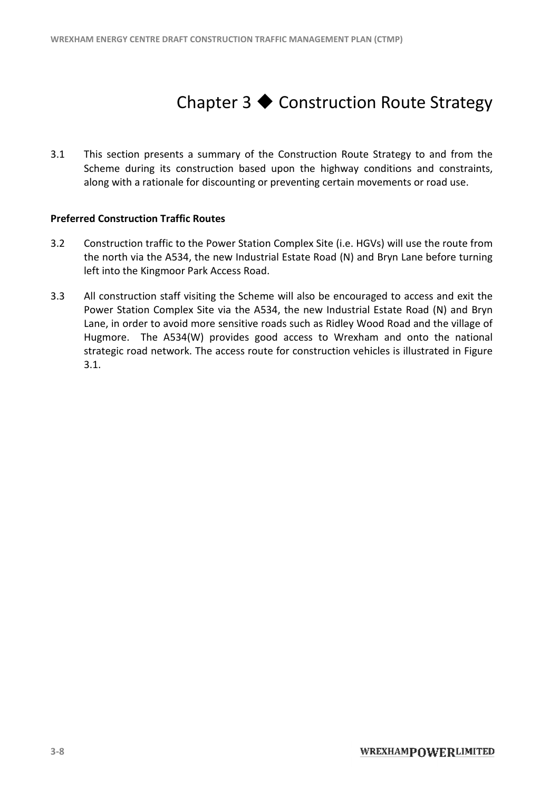### Chapter  $3 \triangleleft$  Construction Route Strategy

3.1 This section presents a summary of the Construction Route Strategy to and from the Scheme during its construction based upon the highway conditions and constraints, along with a rationale for discounting or preventing certain movements or road use.

### **Preferred Construction Traffic Routes**

- 3.2 Construction traffic to the Power Station Complex Site (i.e. HGVs) will use the route from the north via the A534, the new Industrial Estate Road (N) and Bryn Lane before turning left into the Kingmoor Park Access Road. the north via the A534, the new Industrial Estate Road (N) and Bryn Lane before turning<br>left into the Kingmoor Park Access Road.<br>3.3 All construction staff visiting the Scheme will also be encouraged to access and exit the
- Power Station Complex Site via the A534, the new Industrial Estate Road (N) and Bryn Lane, in order to avoid more sensitive roads such as Ridley Wood Road and the village of Hugmore. The A534(W) provides good access to Wrexham and onto the national Hugmore. The A534(W) provides good access to Wrexham and onto the national strategic road network. The access route for construction vehicles is illustrated in Figure 3.1.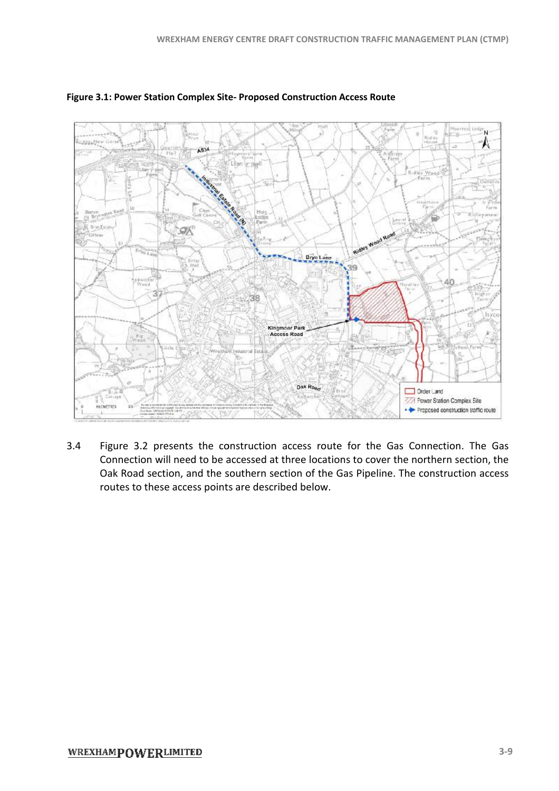

### **Figure 3.1: Power Station Complex Site Site- Proposed Construction Access Route**

3.4 Figure 3.2 presents the construction access route for the Gas Connection. The Gas Connection will need to be accessed at three locations to cover the northern section, the Connection will need to be accessed at three locations to cover the northern section, the<br>Oak Road section, and the southern section of the Gas Pipeline. The construction access routes to these access points are described below.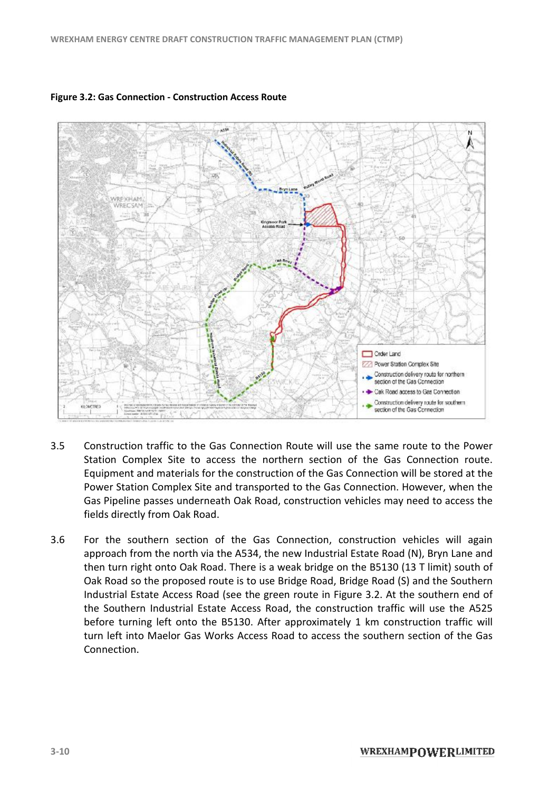

#### **Figure 3.2: Gas Connection - Construction Access Route**

- 3.5 Construction traffic to the Gas Connection Route will use the same route to the Power Station Complex Site to access the northern section of the Gas Connection route. Equipment and materials for the construction of the Gas Connection will be stored at the Power Station Complex Site and transported to the Gas Connection. However, when the Gas Pipeline passes underneath Oak Road, construction vehicles may need to access the fields directly from Oak Road. the Gas Connection will be stored at the<br>the Gas Connection. However, when the<br>ruction vehicles may need to access the<br>tion, construction vehicles will again<br>ndustrial Estate Road (N), Bryn Lane and
- 3.6 For the southern section of the Gas Connection, construction vehicles will again For the southern section of the Gas Connection, construction vehicles will ag<br>approach from the north via the A534, the new Industrial Estate Road (N), Bryn Lane then turn right onto Oak Road. There is a weak bridge on the B5130 (13 T limit) south of then turn right onto Oak Road. There is a weak bridge on the B5130 (13 T limit) south of<br>Oak Road so the proposed route is to use Bridge Road, Bridge Road (S) and the Southern Industrial Estate Access Road (see the green route in Figure 3.2. At the southern end of the Southern Industrial Estate Access Road, the construction traffic will use the A525 before turning left onto the B5130. After approximately 1 km construction traffic will turn left into Maelor Gas Works Access Road to access the southern section of the Gas Connection. . At the southern end of<br>traffic will use the A525<br>construction traffic will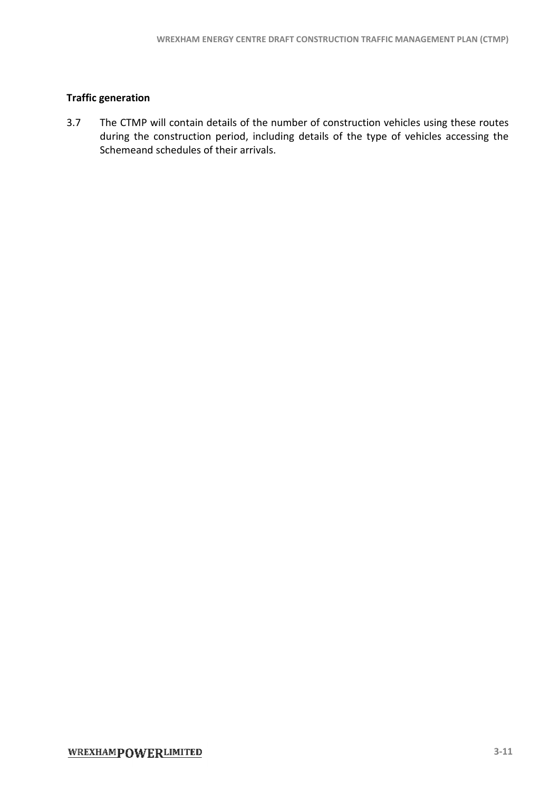### **Traffic generation**

3.7 The CTMP will contain details of the number of construction vehicles using these routes The CTMP will contain details of the number of construction vehicles using these routes<br>during the construction period, including details of the type of vehicles accessing the Schemeand schedules of their arrivals. WREXHAM ENERGY CENTRE DRAFT CONSTRUCTION TRAFFIC MANAGEMENT PLAN (CTMP)<br> **ion**<br>
AP will contain details of the number of construction vehicles using these routes<br>
the construction period, including details of the type of v he type of vehicles accessing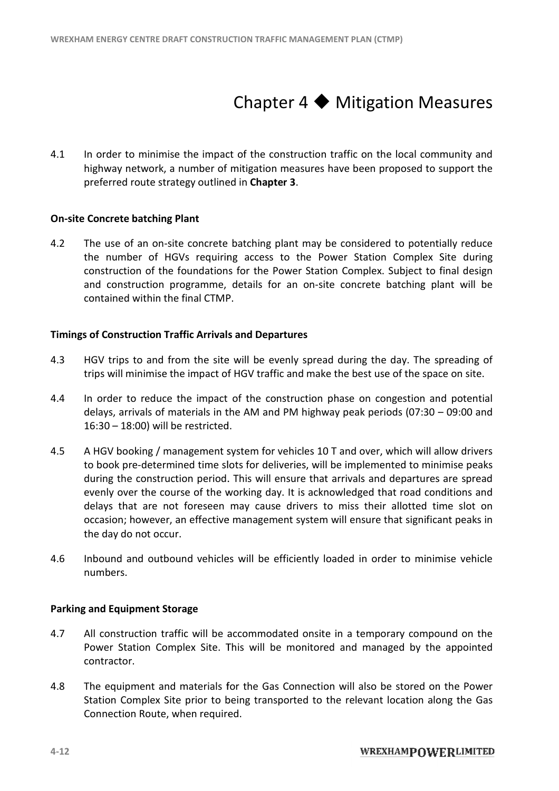### Chapter  $4 \blacklozenge$  Mitigation Measures

4.1 In order to minimise the impact of the construction traffic on the local community and In order to minimise the impact of the construction traffic on the local community and<br>highway network, a number of mitigation measures have been proposed to support the preferred route strategy outlined in **Chapter 3**.

### **On-site Concrete batching Plant**

4.2 The use of an on-site concrete batching plant may be considered to potentially reduce the number of HGVs requiring access to the Power Station Complex Site during construction of the foundations for the Power Station Complex. Subject to final design and construction programme, details for an on-site concrete batching plant will be contained within the final CTMP.

### **Timings of Construction Traffic Arrivals and Departures**

- 4.3 HGV trips to and from the site will be evenly spread during the day. The spreading of HGV trips to and from the site will be evenly spread during the day. The spreading c<br>trips will minimise the impact of HGV traffic and make the best use of the space on site.
- 4.4 In order to reduce the impact of the construction phase on congestion and potential delays, arrivals of materials in the AM and PM highway peak periods (07:30 - 09:00 and 16:30 - 18:00) will be restricted.
- 4.5 A HGV booking / management system for vehicles 10 T and over, which will allow drivers to book pre-determined time slots for deliveries, will be implemented to minimise peaks during the construction period. This will ensure that arrivals and departures are spread evenly over the course of the working day. It is acknowledged that road conditions and<br>delays that are not foreseen may cause drivers to miss their allotted time slot on delays that are not foreseen may cause drivers to miss their allotted time slot on occasion; however, an effective management system will ensure that significant peaks in the day do not occur.
- 4.6 Inbound and outbound vehicles will be efficiently loaded in order to minimise vehicle numbers. rever, an effective management system will ensure that significant peaks in<br>t occur.<br>outbound vehicles will be efficiently loaded in order to minimise vehicle<br>ent Storage<br>on traffic will be accommodated onsite in a tempora

### **Parking and Equipment Storage**

- 4.7 All construction traffic will be accommodated onsite in a temporary compound on the Power Station Complex Site. This will be monitored and managed by the appointed contractor.
- 4.8 The equipment and materials for the Gas Connection will also be stored on the Power The equipment and materials for the Gas Connection will also be stored on the Power<br>Station Complex Site prior to being transported to the relevant location along the Gas Connection Route, when required.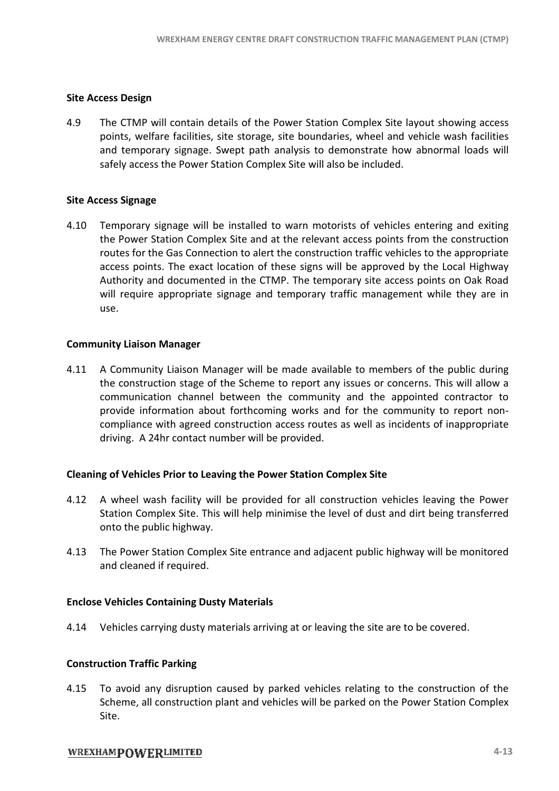### **Site Access Design**

4.9 The CTMP will contain details of the Power Station Complex Site layout showing access points, welfare facilities, site storage, site boundaries, wheel and vehicle wash facilities points, welfare facilities, site storage, site boundaries, wheel and vehicle wash facilities<br>and temporary signage. Swept path analysis to demonstrate how abnormal loads will safely access the Power Station Complex Site will also be included.

### **Site Access Signage**

4.10 Temporary signage will be installed to warn motorists of vehicles entering and exiting the Power Station Complex Site and at the relevant access points from the c Power Station construction routes for the Gas Connection to alert the construction traffic vehicles to the appropriate access points. The exact location of these signs will be approved by the Local Highway routes for the Gas Connection to alert the construction traffic vehicles to the appropriate<br>access points. The exact location of these signs will be approved by the Local Highway<br>Authority and documented in the CTMP. The t will require appropriate signage and temporary traffic management while they are in use.

### **Community Liaison Manager**

4.11 A Community Liaison Manager will be made available to members of the public during the construction stage of the Scheme to report any issues or concerns. This will allow a communication channel between the community and the appointed contractor to provide information about forthcoming works and for the community to report noncompliance with agreed construction access routes as well as incidents of inappropriate driving. A 24hr contact number will be provided.

### **Cleaning of Vehicles Prior to Leaving Leaving the Power Station Complex Site**

- 4.12 A wheel wash facility will be provided for all construction vehicles leaving the Power Station Complex Site. This will help minimise the level of dust and dirt being transferred onto the public highway. Station Complex Site. This will help minimise the level of dust and dirt being transferred<br>onto the public highway.<br>4.13 The Power Station Complex Site entrance and adjacent public highway will be monitored
- and cleaned if required.

### **Enclose Vehicles Containing Dusty Mat Materials**

4.14 Vehicles carrying dusty materials arriving at or leaving the site are to be covered.

### **Construction Traffic Parking**

4.14 Vehicles carrying dusty materials arriving at or leaving the site are to be covered.<br> **Construction Traffic Parking**<br>
4.15 To avoid any disruption caused by parked vehicles relating to the construction of the Scheme, all construction plant and vehicles will be parked on the Power Station Complex Site.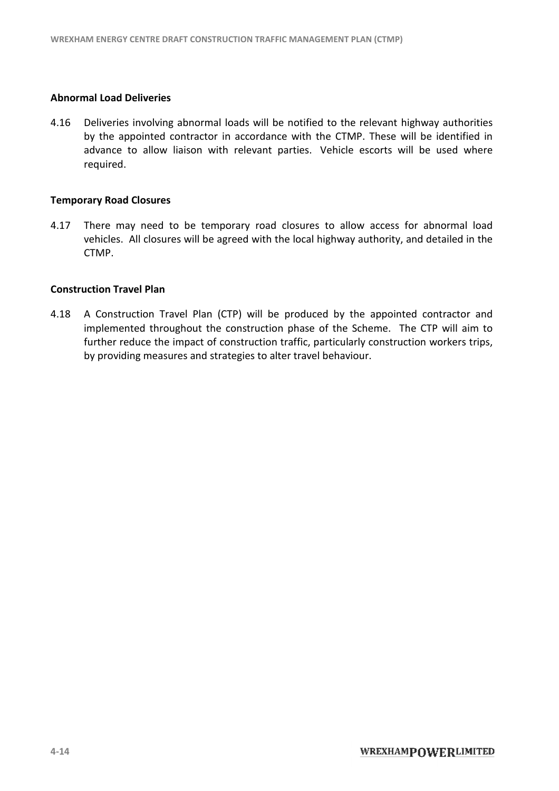### **Abnormal Load Deliveries**

4.16 Deliveries involving abnormal loads will be notified to the relevant highway by the appointed contractor in accordance with the CTMP. These will be identified in advance to allow liaison with relevant parties. Vehicle escorts will be used where required. . These will be identified in<br>escorts will be used where<br><br>access for abnormal load<br>uthority, and detailed in the

#### **Temporary Road Closures**

4.17 There may need to be temporary road closures to allow access for abnormal load vehicles. All closures will be agreed with the local highway authority, and detailed in the CTMP.

### **Construction Travel Plan**

4.18 A Construction Travel Plan (CTP) will be produced by the appointed contractor and A Construction Travel Plan (CTP) will be produced by the appointed contractor and<br>implemented throughout the construction phase of the Scheme. The CTP will aim to further reduce the impact of construction traffic, particularly construction workers trips, by providing measures and strategies to alter travel behaviour. Noting abnormal loads will be notified to the relevant highway authorities<br>Inted contractor in accordance with the CTMP. These will be identified in<br>allow liaison with relevant parties. Vehicle escorts will be used where<br>p